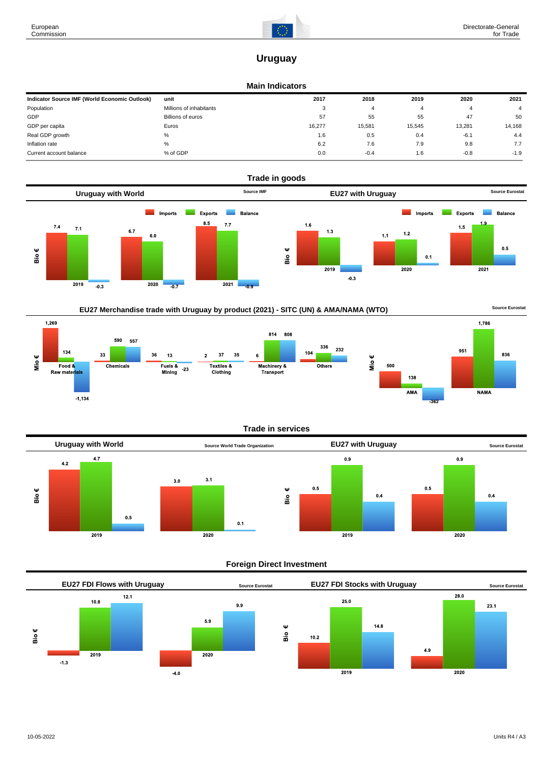$-1,134$ 



1,786

**NAMA** 

836

951

AMA

# **Uruguay**

#### **Main Indicators**

| Indicator Source IMF (World Economic Outlook) | unit                    | 2017   | 2018   | 2019   | 2020   | 2021           |
|-----------------------------------------------|-------------------------|--------|--------|--------|--------|----------------|
| Population                                    | Millions of inhabitants | 3      |        |        |        | $\overline{4}$ |
| GDP                                           | Billions of euros       | 57     | 55     | 55     | 47     | 50             |
| GDP per capita                                | Euros                   | 16,277 | 15.581 | 15,545 | 13,281 | 14,168         |
| Real GDP growth                               | %                       | 1.6    | 0.5    | 0.4    | $-6.1$ | 4.4            |
| Inflation rate                                | %                       | 6.2    | 7.6    | 7.9    | 9.8    | 7.7            |
| Current account balance                       | % of GDP                | 0.0    | $-0.4$ | 1.6    | $-0.8$ | $-1.9$         |









## **Foreign Direct Investment**